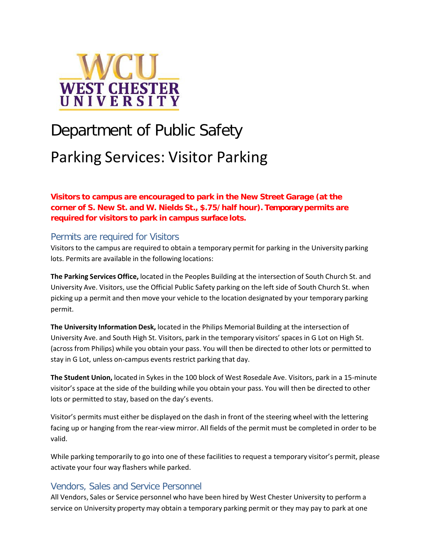

# Department of Public Safety Parking Services: Visitor Parking

**Visitors to campus are encouraged to park in the New Street Garage (at the corner of S. New St. and W. Nields St., \$.75/half hour). Temporary permits are required for visitors to park in campus surface lots.**

### Permits are required for Visitors

Visitors to the campus are required to obtain a temporary permit for parking in the University parking lots. Permits are available in the following locations:

**The Parking Services Office,** located in the Peoples Building at the intersection of South Church St. and University Ave. Visitors, use the Official Public Safety parking on the left side of South Church St. when picking up a permit and then move your vehicle to the location designated by your temporary parking permit.

**The University Information Desk,** located in the Philips Memorial Building at the intersection of University Ave. and South High St. Visitors, park in the temporary visitors' spaces in G Lot on High St. (across from Philips) while you obtain your pass. You will then be directed to other lots or permitted to stay in G Lot, unless on-campus events restrict parking that day.

**The Student Union,** located in Sykes in the 100 block of West Rosedale Ave. Visitors, park in a 15-minute visitor's space at the side of the building while you obtain your pass. You will then be directed to other lots or permitted to stay, based on the day's events.

Visitor's permits must either be displayed on the dash in front of the steering wheel with the lettering facing up or hanging from the rear-view mirror. All fields of the permit must be completed in order to be valid.

While parking temporarily to go into one of these facilities to request a temporary visitor's permit, please activate your four way flashers while parked.

#### Vendors, Sales and Service Personnel

All Vendors, Sales or Service personnel who have been hired by West Chester University to perform a service on University property may obtain a temporary parking permit or they may pay to park at one